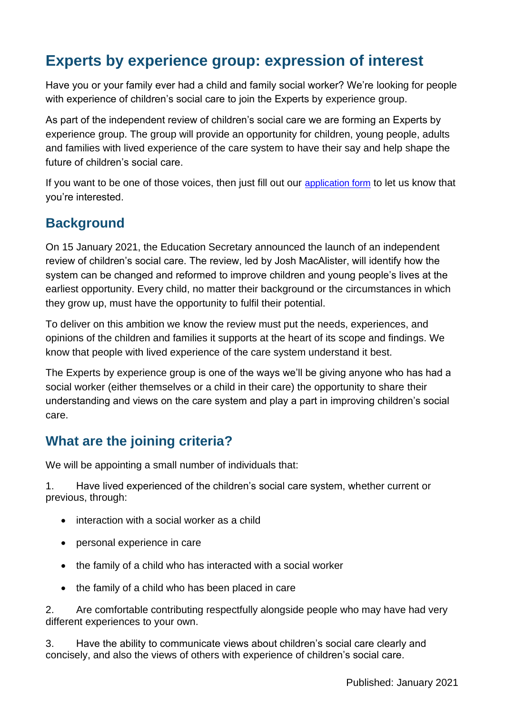# **Experts by experience group: expression of interest**

Have you or your family ever had a child and family social worker? We're looking for people with experience of children's social care to join the Experts by experience group.

As part of the independent review of children's social care we are forming an Experts by experience group. The group will provide an opportunity for children, young people, adults and families with lived experience of the care system to have their say and help shape the future of children's social care.

If you want to be one of those voices, then just fill out our [application form](https://forms.office.com/Pages/ResponsePage.aspx?id=yXfS-grGoU2187O4s0qC-aGv4cJOe8pAp9ukipZHYJhUNUtZS1pGOUgzUElENUlBNFlYUTNWRVFJVC4u) to let us know that you're interested.

#### **Background**

On 15 January 2021, the Education Secretary announced the launch of an independent review of children's social care. The review, led by Josh MacAlister, will identify how the system can be changed and reformed to improve children and young people's lives at the earliest opportunity. Every child, no matter their background or the circumstances in which they grow up, must have the opportunity to fulfil their potential.

To deliver on this ambition we know the review must put the needs, experiences, and opinions of the children and families it supports at the heart of its scope and findings. We know that people with lived experience of the care system understand it best.

The Experts by experience group is one of the ways we'll be giving anyone who has had a social worker (either themselves or a child in their care) the opportunity to share their understanding and views on the care system and play a part in improving children's social care.

#### **What are the joining criteria?**

We will be appointing a small number of individuals that:

1. Have lived experienced of the children's social care system, whether current or previous, through:

- interaction with a social worker as a child
- personal experience in care
- the family of a child who has interacted with a social worker
- the family of a child who has been placed in care

2. Are comfortable contributing respectfully alongside people who may have had very different experiences to your own.

3. Have the ability to communicate views about children's social care clearly and concisely, and also the views of others with experience of children's social care.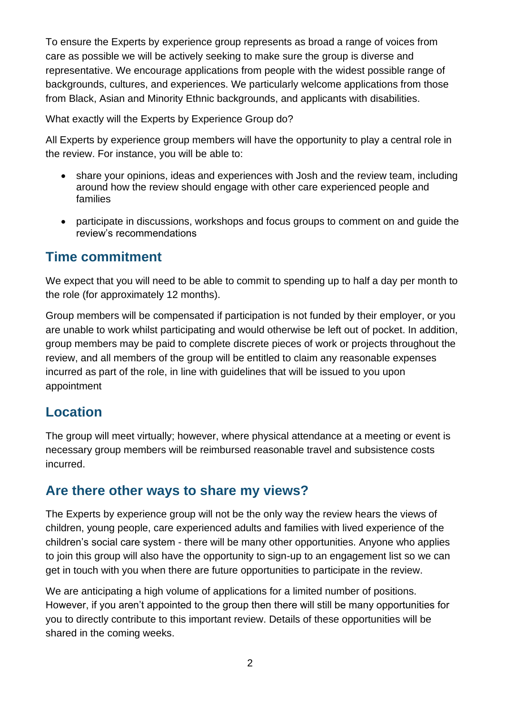To ensure the Experts by experience group represents as broad a range of voices from care as possible we will be actively seeking to make sure the group is diverse and representative. We encourage applications from people with the widest possible range of backgrounds, cultures, and experiences. We particularly welcome applications from those from Black, Asian and Minority Ethnic backgrounds, and applicants with disabilities.

What exactly will the Experts by Experience Group do?

All Experts by experience group members will have the opportunity to play a central role in the review. For instance, you will be able to:

- share your opinions, ideas and experiences with Josh and the review team, including around how the review should engage with other care experienced people and families
- participate in discussions, workshops and focus groups to comment on and guide the review's recommendations

## **Time commitment**

We expect that you will need to be able to commit to spending up to half a day per month to the role (for approximately 12 months).

Group members will be compensated if participation is not funded by their employer, or you are unable to work whilst participating and would otherwise be left out of pocket. In addition, group members may be paid to complete discrete pieces of work or projects throughout the review, and all members of the group will be entitled to claim any reasonable expenses incurred as part of the role, in line with guidelines that will be issued to you upon appointment

## **Location**

The group will meet virtually; however, where physical attendance at a meeting or event is necessary group members will be reimbursed reasonable travel and subsistence costs incurred.

#### **Are there other ways to share my views?**

The Experts by experience group will not be the only way the review hears the views of children, young people, care experienced adults and families with lived experience of the children's social care system - there will be many other opportunities. Anyone who applies to join this group will also have the opportunity to sign-up to an engagement list so we can get in touch with you when there are future opportunities to participate in the review.

We are anticipating a high volume of applications for a limited number of positions. However, if you aren't appointed to the group then there will still be many opportunities for you to directly contribute to this important review. Details of these opportunities will be shared in the coming weeks.